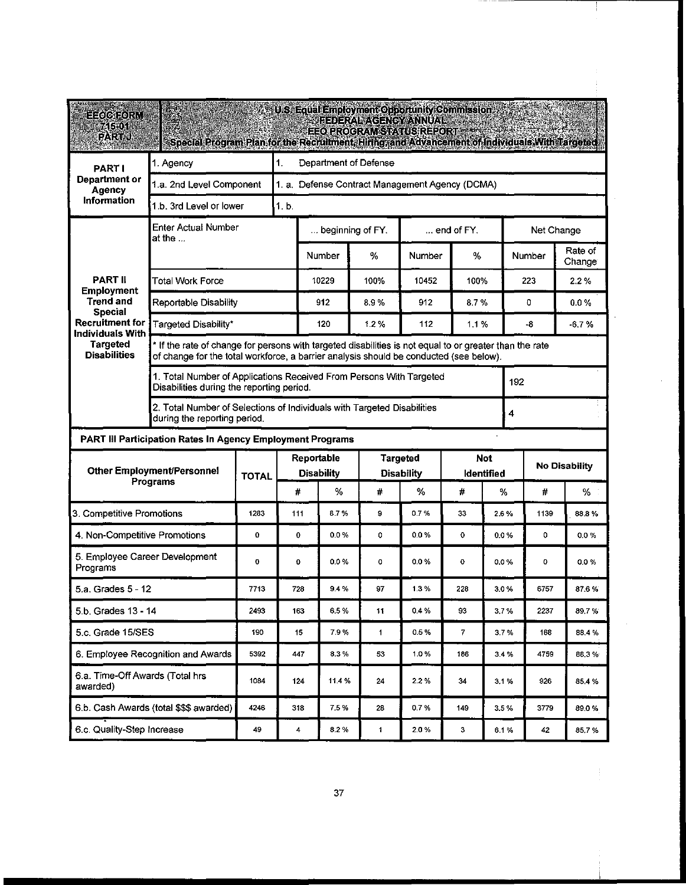| E=oletror{M<br>745.01<br>12公式 泰明                                                                                                                                         | Special Program Plan for the Recruitment, Hiring, and Advancement of Individuals With Targeted                                                                                                    |                                                 |                                                                     |                                        | <b>U.S. Equal Employment Opportunity Commission</b><br><b>FEDERAL AGENCY ANNUAL</b><br>EEO.PROGRAM.STATUS.REPORT |        |                          |       |                      |         |                   |  |  |  |
|--------------------------------------------------------------------------------------------------------------------------------------------------------------------------|---------------------------------------------------------------------------------------------------------------------------------------------------------------------------------------------------|-------------------------------------------------|---------------------------------------------------------------------|----------------------------------------|------------------------------------------------------------------------------------------------------------------|--------|--------------------------|-------|----------------------|---------|-------------------|--|--|--|
| <b>PARTI</b><br>Department or<br><b>Agency</b><br>Information                                                                                                            | 1.<br>1. Agency                                                                                                                                                                                   |                                                 |                                                                     | Department of Defense                  |                                                                                                                  |        |                          |       |                      |         |                   |  |  |  |
|                                                                                                                                                                          | 1.a. 2nd Level Component                                                                                                                                                                          | 1. a. Defense Contract Management Agency (DCMA) |                                                                     |                                        |                                                                                                                  |        |                          |       |                      |         |                   |  |  |  |
|                                                                                                                                                                          | 1.b. 3rd Level or lower                                                                                                                                                                           |                                                 | 1.b.                                                                |                                        |                                                                                                                  |        |                          |       |                      |         |                   |  |  |  |
| <b>PART II</b><br><b>Employment</b><br><b>Trend and</b><br><b>Special</b><br><b>Recruitment for</b><br><b>Individuals With</b><br><b>Targeted</b><br><b>Disabilities</b> | <b>Enter Actual Number</b><br>at the                                                                                                                                                              |                                                 |                                                                     | beginning of FY.<br>$\dots$ end of FY. |                                                                                                                  |        |                          |       | Net Change           |         |                   |  |  |  |
|                                                                                                                                                                          |                                                                                                                                                                                                   |                                                 |                                                                     | Number                                 | %                                                                                                                | Number | %                        |       |                      | Number  | Rate of<br>Change |  |  |  |
|                                                                                                                                                                          | <b>Total Work Force</b>                                                                                                                                                                           |                                                 |                                                                     | 10229                                  | 100%                                                                                                             | 10452  | 100%                     |       | 223                  |         | 2.2%              |  |  |  |
|                                                                                                                                                                          | Reportable Disability                                                                                                                                                                             |                                                 |                                                                     | 912                                    | 8.9%                                                                                                             | 912    |                          | 8.7%  |                      | 0       | $0.0 \%$          |  |  |  |
|                                                                                                                                                                          | Targeted Disability*                                                                                                                                                                              |                                                 | 120                                                                 | 1.2%                                   | 112                                                                                                              |        | 1.1%                     |       | -8                   | $-6.7%$ |                   |  |  |  |
|                                                                                                                                                                          | * If the rate of change for persons with targeted disabilities is not equal to or greater than the rate<br>of change for the total workforce, a barrier analysis should be conducted (see below). |                                                 |                                                                     |                                        |                                                                                                                  |        |                          |       |                      |         |                   |  |  |  |
|                                                                                                                                                                          | Disabilities during the reporting period.                                                                                                                                                         |                                                 | 1. Total Number of Applications Received From Persons With Targeted |                                        |                                                                                                                  |        |                          | 192   |                      |         |                   |  |  |  |
|                                                                                                                                                                          | 2. Total Number of Selections of Individuals with Targeted Disabilities<br>during the reporting period.                                                                                           |                                                 |                                                                     |                                        |                                                                                                                  |        |                          |       | 4                    |         |                   |  |  |  |
| PART III Participation Rates In Agency Employment Programs                                                                                                               |                                                                                                                                                                                                   |                                                 |                                                                     |                                        |                                                                                                                  |        |                          |       |                      |         |                   |  |  |  |
| <b>Other Employment/Personnel</b><br>Programs                                                                                                                            |                                                                                                                                                                                                   | <b>TOTAL</b>                                    | Reportable                                                          |                                        | <b>Targeted</b><br><b>Disability</b>                                                                             |        | <b>Not</b><br>ldentified |       | <b>No Disability</b> |         |                   |  |  |  |
|                                                                                                                                                                          |                                                                                                                                                                                                   |                                                 | #                                                                   | <b>Disability</b><br>%                 | #                                                                                                                | %      | #                        | %     |                      | #       | ℅                 |  |  |  |
| 3. Competitive Promotions                                                                                                                                                | 1283                                                                                                                                                                                              | 111                                             | 8.7%                                                                | 9                                      | 0.7%                                                                                                             | 33     | 2.6%                     |       | 1139                 | 88.8%   |                   |  |  |  |
| 4. Non-Competitive Promotions                                                                                                                                            |                                                                                                                                                                                                   | 0                                               | 0                                                                   | 0.0%                                   | 0                                                                                                                | 0.0 %  | $\mathbf{o}$             | 0.0 % |                      | 0       | 0.0%              |  |  |  |
| 5. Employee Career Development<br>Programs                                                                                                                               |                                                                                                                                                                                                   | 0                                               | 0                                                                   | 0.0%                                   | 0                                                                                                                | 0.0 %  | $\mathbf 0$              | 0.0%  |                      | o       | 0.0 %             |  |  |  |
| 5.a. Grades 5 - 12                                                                                                                                                       | 7713                                                                                                                                                                                              | 728                                             | 9.4%                                                                | 97                                     | 1.3%                                                                                                             | 228    | 3.0%                     |       | 6757                 | 87.6%   |                   |  |  |  |
| 5.b. Grades 13 - 14                                                                                                                                                      | 2493                                                                                                                                                                                              | 163                                             | 6.5%                                                                | 11                                     | 0.4%                                                                                                             | 93     | 3.7%                     |       | 2237                 | 89.7%   |                   |  |  |  |
| 5.c. Grade 15/SES                                                                                                                                                        | 190                                                                                                                                                                                               | 15                                              | 7.9%                                                                | $\mathbf{1}$                           | 0.5%                                                                                                             | 7      | 3.7%                     |       | 168                  | 88.4%   |                   |  |  |  |
| 6. Employee Recognition and Awards                                                                                                                                       | 5392                                                                                                                                                                                              | 447                                             | 8.3%                                                                | 53                                     | 1.0%                                                                                                             | 186    | 3.4 %                    |       | 4759                 | 88.3%   |                   |  |  |  |
| 6.a. Time-Off Awards (Total hrs<br>awarded)                                                                                                                              | 1084                                                                                                                                                                                              | 124                                             | 11.4 %                                                              | 24                                     | 2.2%                                                                                                             | 34     | 3.1%                     |       | 926                  | 85.4%   |                   |  |  |  |
| 6.b. Cash Awards (total \$\$\$ awarded)                                                                                                                                  | 4246                                                                                                                                                                                              | 318                                             | 7.5%                                                                | 28                                     | 0.7%                                                                                                             | 149    | 3.5%                     |       | 3779                 | 89.0%   |                   |  |  |  |
| 6.c. Quality-Step Increase                                                                                                                                               | 49                                                                                                                                                                                                | 4                                               | 8.2%                                                                | $\mathbf{1}$                           | 2.0%                                                                                                             | з      | 6.1%                     |       | 42                   | 85.7%   |                   |  |  |  |